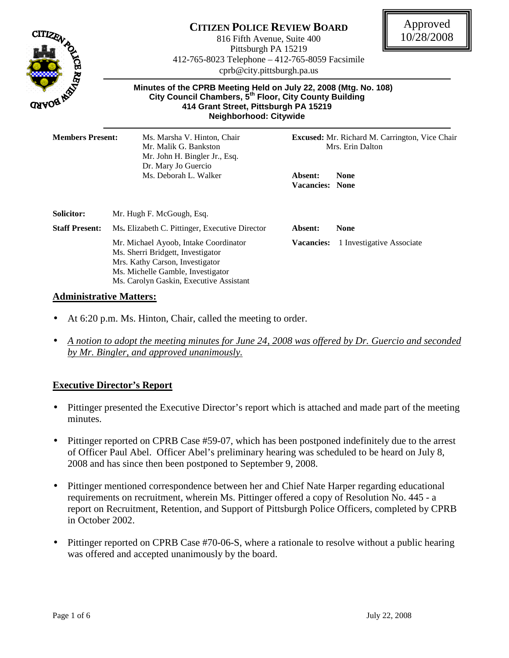

# **CITIZEN POLICE REVIEW BOARD**

816 Fifth Avenue, Suite 400 Pittsburgh PA 15219 412-765-8023 Telephone – 412-765-8059 Facsimile cprb@city.pittsburgh.pa.us



 **Minutes of the CPRB Meeting Held on July 22, 2008 (Mtg. No. 108) City Council Chambers, 5th Floor, City County Building 414 Grant Street, Pittsburgh PA 15219 Neighborhood: Citywide** 

| <b>Members Present:</b> | Ms. Marsha V. Hinton, Chair<br>Mr. Malik G. Bankston<br>Mr. John H. Bingler Jr., Esq.<br>Dr. Mary Jo Guercio                                                                                  | <b>Excused:</b> Mr. Richard M. Carrington, Vice Chair<br>Mrs. Erin Dalton |                           |  |
|-------------------------|-----------------------------------------------------------------------------------------------------------------------------------------------------------------------------------------------|---------------------------------------------------------------------------|---------------------------|--|
|                         | Ms. Deborah L. Walker                                                                                                                                                                         | Absent:<br><b>Vacancies: None</b>                                         | None                      |  |
| <b>Solicitor:</b>       | Mr. Hugh F. McGough, Esq.                                                                                                                                                                     |                                                                           |                           |  |
| <b>Staff Present:</b>   | Ms. Elizabeth C. Pittinger, Executive Director                                                                                                                                                | Absent:                                                                   | <b>None</b>               |  |
|                         | Mr. Michael Ayoob, Intake Coordinator<br>Ms. Sherri Bridgett, Investigator<br>Mrs. Kathy Carson, Investigator<br>Ms. Michelle Gamble, Investigator<br>Ms. Carolyn Gaskin, Executive Assistant | <b>Vacancies:</b>                                                         | 1 Investigative Associate |  |

#### **Administrative Matters:**

- At 6:20 p.m. Ms. Hinton, Chair, called the meeting to order.
- *A notion to adopt the meeting minutes for June 24, 2008 was offered by Dr. Guercio and seconded by Mr. Bingler, and approved unanimously.*

### **Executive Director's Report**

- Pittinger presented the Executive Director's report which is attached and made part of the meeting minutes.
- Pittinger reported on CPRB Case #59-07, which has been postponed indefinitely due to the arrest of Officer Paul Abel. Officer Abel's preliminary hearing was scheduled to be heard on July 8, 2008 and has since then been postponed to September 9, 2008.
- Pittinger mentioned correspondence between her and Chief Nate Harper regarding educational requirements on recruitment, wherein Ms. Pittinger offered a copy of Resolution No. 445 - a report on Recruitment, Retention, and Support of Pittsburgh Police Officers, completed by CPRB in October 2002.
- Pittinger reported on CPRB Case #70-06-S, where a rationale to resolve without a public hearing was offered and accepted unanimously by the board.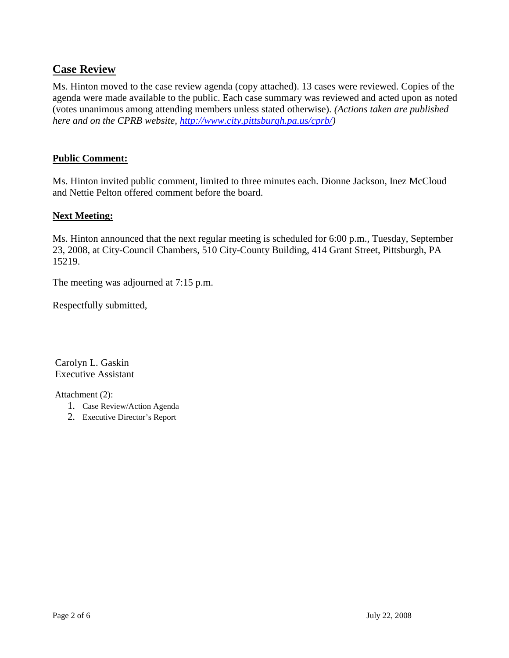## **Case Review**

Ms. Hinton moved to the case review agenda (copy attached). 13 cases were reviewed. Copies of the agenda were made available to the public. Each case summary was reviewed and acted upon as noted (votes unanimous among attending members unless stated otherwise). *(Actions taken are published here and on the CPRB website, http://www.city.pittsburgh.pa.us/cprb/)* 

#### **Public Comment:**

Ms. Hinton invited public comment, limited to three minutes each. Dionne Jackson, Inez McCloud and Nettie Pelton offered comment before the board.

#### **Next Meeting:**

Ms. Hinton announced that the next regular meeting is scheduled for 6:00 p.m., Tuesday, September 23, 2008, at City-Council Chambers, 510 City-County Building, 414 Grant Street, Pittsburgh, PA 15219.

The meeting was adjourned at 7:15 p.m.

Respectfully submitted,

 Carolyn L. Gaskin Executive Assistant

Attachment (2):

- 1. Case Review/Action Agenda
- 2. Executive Director's Report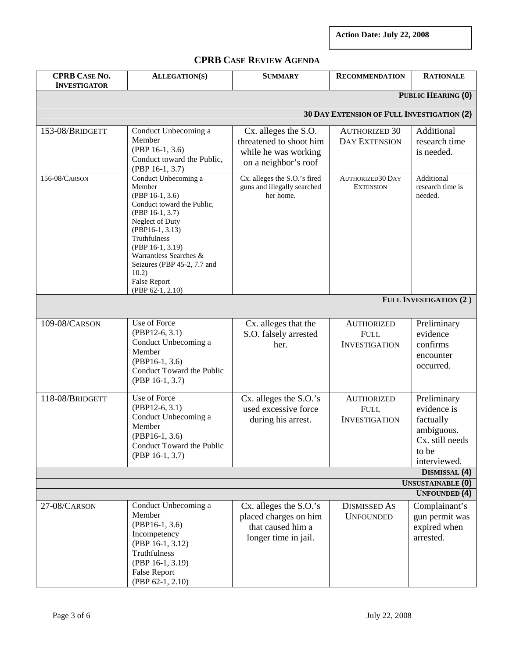**Action Date: July 22, 2008** 

**CPRB CASE REVIEW AGENDA**

| <b>CPRB CASE NO.</b><br><b>INVESTIGATOR</b> | <b>ALLEGATION(S)</b>                                                                                                                                                                                                                                                                            | <b>SUMMARY</b>                                                                                  | <b>RECOMMENDATION</b>                                    | <b>RATIONALE</b>                                                                                  |  |  |
|---------------------------------------------|-------------------------------------------------------------------------------------------------------------------------------------------------------------------------------------------------------------------------------------------------------------------------------------------------|-------------------------------------------------------------------------------------------------|----------------------------------------------------------|---------------------------------------------------------------------------------------------------|--|--|
| PUBLIC HEARING (0)                          |                                                                                                                                                                                                                                                                                                 |                                                                                                 |                                                          |                                                                                                   |  |  |
| 30 DAY EXTENSION OF FULL INVESTIGATION (2)  |                                                                                                                                                                                                                                                                                                 |                                                                                                 |                                                          |                                                                                                   |  |  |
| 153-08/BRIDGETT                             | Conduct Unbecoming a<br>Member<br>(PBP 16-1, 3.6)<br>Conduct toward the Public,<br>$(PBP 16-1, 3.7)$                                                                                                                                                                                            | Cx. alleges the S.O.<br>threatened to shoot him<br>while he was working<br>on a neighbor's roof | <b>AUTHORIZED 30</b><br><b>DAY EXTENSION</b>             | Additional<br>research time<br>is needed.                                                         |  |  |
| 156-08/CARSON                               | Conduct Unbecoming a<br>Member<br>$(PBP 16-1, 3.6)$<br>Conduct toward the Public,<br>$(PBP 16-1, 3.7)$<br>Neglect of Duty<br>(PBP16-1, 3.13)<br>Truthfulness<br>(PBP 16-1, 3.19)<br>Warrantless Searches &<br>Seizures (PBP 45-2, 7.7 and<br>10.2)<br><b>False Report</b><br>$(PBP 62-1, 2.10)$ | Cx. alleges the S.O.'s fired<br>guns and illegally searched<br>her home.                        | <b>AUTHORIZED30 DAY</b><br><b>EXTENSION</b>              | Additional<br>research time is<br>needed.                                                         |  |  |
| FULL INVESTIGATION (2)                      |                                                                                                                                                                                                                                                                                                 |                                                                                                 |                                                          |                                                                                                   |  |  |
| 109-08/CARSON                               | Use of Force<br>$(PBP12-6, 3.1)$<br>Conduct Unbecoming a<br>Member<br>$(PBP16-1, 3.6)$<br>Conduct Toward the Public<br>(PBP 16-1, 3.7)                                                                                                                                                          | Cx. alleges that the<br>S.O. falsely arrested<br>her.                                           | <b>AUTHORIZED</b><br><b>FULL</b><br><b>INVESTIGATION</b> | Preliminary<br>evidence<br>confirms<br>encounter<br>occurred.                                     |  |  |
| 118-08/BRIDGETT                             | Use of Force<br>$(PBP12-6, 3.1)$<br>Conduct Unbecoming a<br>Member<br>$(PBP16-1, 3.6)$<br>Conduct Toward the Public<br>$(PBP 16-1, 3.7)$                                                                                                                                                        | $Cx.$ alleges the $S.O.'s$<br>used excessive force<br>during his arrest.                        | <b>AUTHORIZED</b><br><b>FULL</b><br><b>INVESTIGATION</b> | Preliminary<br>evidence is<br>factually<br>ambiguous.<br>Cx. still needs<br>to be<br>interviewed. |  |  |
|                                             |                                                                                                                                                                                                                                                                                                 |                                                                                                 |                                                          | DISMISSAL (4)                                                                                     |  |  |
|                                             |                                                                                                                                                                                                                                                                                                 |                                                                                                 |                                                          | <b>UNSUSTAINABLE (0)</b><br><b>UNFOUNDED</b> (4)                                                  |  |  |
| 27-08/CARSON                                | Conduct Unbecoming a<br>Member<br>$(PBP16-1, 3.6)$<br>Incompetency<br>(PBP 16-1, 3.12)<br>Truthfulness<br>(PBP 16-1, 3.19)<br><b>False Report</b><br>(PBP 62-1, 2.10)                                                                                                                           | Cx. alleges the S.O.'s<br>placed charges on him<br>that caused him a<br>longer time in jail.    | <b>DISMISSED AS</b><br><b>UNFOUNDED</b>                  | Complainant's<br>gun permit was<br>expired when<br>arrested.                                      |  |  |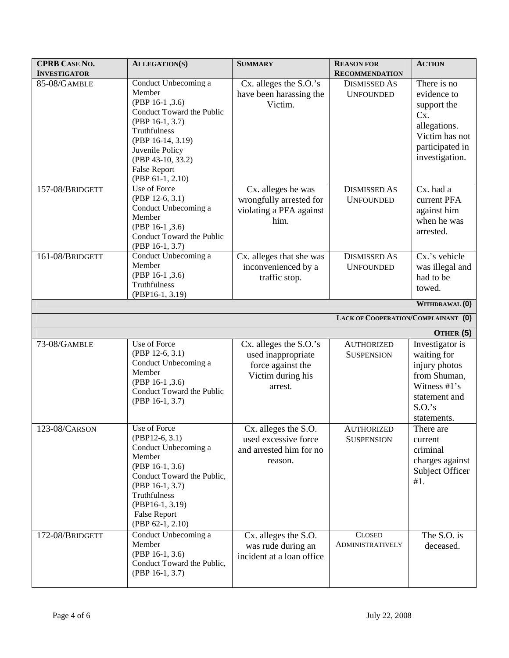| <b>CPRB CASE NO.</b><br><b>INVESTIGATOR</b> | <b>ALLEGATION(S)</b>                                                                                                                                                                                                      | <b>SUMMARY</b>                                                                                    | <b>REASON FOR</b><br><b>RECOMMENDATION</b> | <b>ACTION</b>                                                                                                                          |
|---------------------------------------------|---------------------------------------------------------------------------------------------------------------------------------------------------------------------------------------------------------------------------|---------------------------------------------------------------------------------------------------|--------------------------------------------|----------------------------------------------------------------------------------------------------------------------------------------|
| 85-08/GAMBLE                                | Conduct Unbecoming a<br>Member<br>(PBP 16-1, 3.6)<br>Conduct Toward the Public<br>(PBP 16-1, 3.7)<br>Truthfulness<br>(PBP 16-14, 3.19)<br>Juvenile Policy<br>(PBP 43-10, 33.2)<br><b>False Report</b><br>(PBP 61-1, 2.10) | Cx. alleges the S.O.'s<br>have been harassing the<br>Victim.                                      | <b>DISMISSED AS</b><br><b>UNFOUNDED</b>    | There is no<br>evidence to<br>support the<br>Cx.<br>allegations.<br>Victim has not<br>participated in<br>investigation.                |
| 157-08/BRIDGETT                             | Use of Force<br>$(PBP 12-6, 3.1)$<br>Conduct Unbecoming a<br>Member<br>(PBP 16-1, 3.6)<br>Conduct Toward the Public<br>(PBP 16-1, 3.7)                                                                                    | Cx. alleges he was<br>wrongfully arrested for<br>violating a PFA against<br>him.                  | <b>DISMISSED AS</b><br><b>UNFOUNDED</b>    | Cx. had a<br>current PFA<br>against him<br>when he was<br>arrested.                                                                    |
| 161-08/BRIDGETT                             | Conduct Unbecoming a<br>Member<br>$(PBP 16-1, 3.6)$<br>Truthfulness<br>(PBP16-1, 3.19)                                                                                                                                    | Cx. alleges that she was<br>inconvenienced by a<br>traffic stop.                                  | <b>DISMISSED AS</b><br><b>UNFOUNDED</b>    | Cx.'s vehicle<br>was illegal and<br>had to be<br>towed.                                                                                |
|                                             |                                                                                                                                                                                                                           |                                                                                                   | LACK OF COOPERATION/COMPLAINANT (0)        | WITHDRAWAL <sup>(0)</sup>                                                                                                              |
|                                             |                                                                                                                                                                                                                           |                                                                                                   |                                            |                                                                                                                                        |
| 73-08/GAMBLE                                | Use of Force<br>(PBP 12-6, 3.1)<br>Conduct Unbecoming a<br>Member<br>(PBP 16-1, 3.6)<br>Conduct Toward the Public<br>(PBP 16-1, 3.7)                                                                                      | Cx. alleges the S.O.'s<br>used inappropriate<br>force against the<br>Victim during his<br>arrest. | <b>AUTHORIZED</b><br><b>SUSPENSION</b>     | OTHER (5)<br>Investigator is<br>waiting for<br>injury photos<br>from Shuman,<br>Witness #1's<br>statement and<br>S.O.'s<br>statements. |
| 123-08/CARSON                               | Use of Force<br>$(PBP12-6, 3.1)$<br>Conduct Unbecoming a<br>Member<br>(PBP 16-1, 3.6)<br>Conduct Toward the Public,<br>(PBP 16-1, 3.7)<br>Truthfulness<br>(PBP16-1, 3.19)<br><b>False Report</b><br>(PBP 62-1, 2.10)      | Cx. alleges the S.O.<br>used excessive force<br>and arrested him for no<br>reason.                | <b>AUTHORIZED</b><br><b>SUSPENSION</b>     | There are<br>current<br>criminal<br>charges against<br>Subject Officer<br>#1.                                                          |
| 172-08/BRIDGETT                             | Conduct Unbecoming a<br>Member<br>$(PBP 16-1, 3.6)$<br>Conduct Toward the Public,<br>(PBP 16-1, 3.7)                                                                                                                      | Cx. alleges the S.O.<br>was rude during an<br>incident at a loan office                           | <b>CLOSED</b><br><b>ADMINISTRATIVELY</b>   | The S.O. is<br>deceased.                                                                                                               |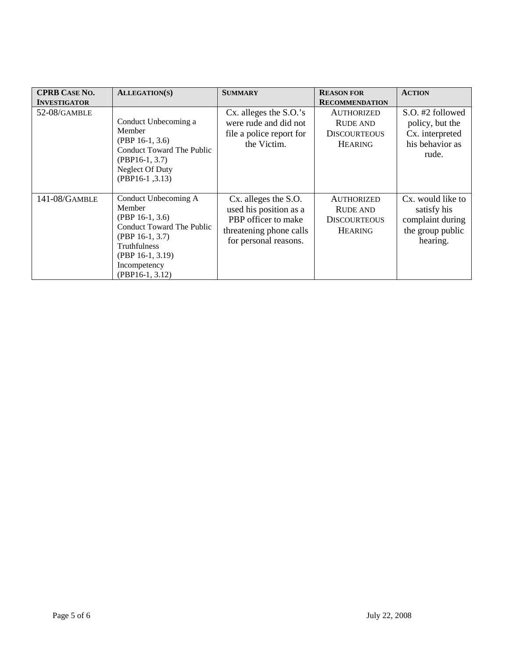| <b>CPRB CASE NO.</b><br><b>INVESTIGATOR</b> | <b>ALLEGATION(S)</b>                                                                                                                                                             | <b>SUMMARY</b>                                                                                                            | <b>REASON FOR</b><br><b>RECOMMENDATION</b>                                    | <b>ACTION</b>                                                                        |
|---------------------------------------------|----------------------------------------------------------------------------------------------------------------------------------------------------------------------------------|---------------------------------------------------------------------------------------------------------------------------|-------------------------------------------------------------------------------|--------------------------------------------------------------------------------------|
| 52-08/GAMBLE                                | Conduct Unbecoming a<br>Member<br>$(PBP 16-1, 3.6)$<br>Conduct Toward The Public<br>$(PBP16-1, 3.7)$<br>Neglect Of Duty<br>$(PBP16-1, 3.13)$                                     | Cx. alleges the S.O.'s<br>were rude and did not<br>file a police report for<br>the Victim.                                | <b>AUTHORIZED</b><br><b>RUDE AND</b><br><b>DISCOURTEOUS</b><br><b>HEARING</b> | S.O. #2 followed<br>policy, but the<br>Cx. interpreted<br>his behavior as<br>rude.   |
| 141-08/GAMBLE                               | Conduct Unbecoming A<br>Member<br>$(PBP 16-1, 3.6)$<br>Conduct Toward The Public<br>$(PBP 16-1, 3.7)$<br>Truthfulness<br>$(PBP 16-1, 3.19)$<br>Incompetency<br>$(PBP16-1, 3.12)$ | Cx. alleges the S.O.<br>used his position as a<br>PBP officer to make<br>threatening phone calls<br>for personal reasons. | <b>AUTHORIZED</b><br><b>RUDE AND</b><br><b>DISCOURTEOUS</b><br><b>HEARING</b> | Cx. would like to<br>satisfy his<br>complaint during<br>the group public<br>hearing. |